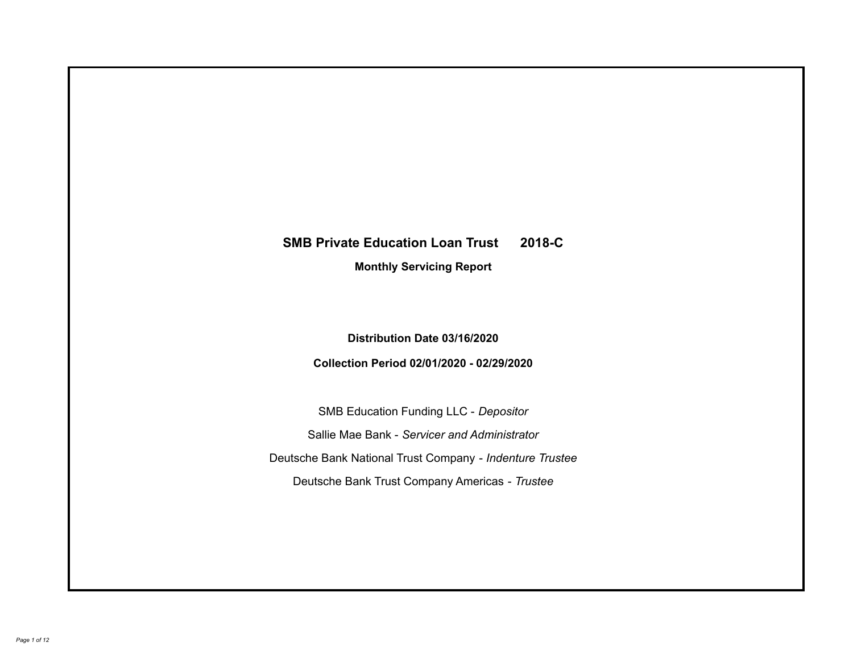# **SMB Private Education Loan Trust 2018-C Monthly Servicing Report**

**Distribution Date 03/16/2020**

**Collection Period 02/01/2020 - 02/29/2020**

SMB Education Funding LLC - *Depositor* Sallie Mae Bank - *Servicer and Administrator* Deutsche Bank National Trust Company - *Indenture Trustee* Deutsche Bank Trust Company Americas - *Trustee*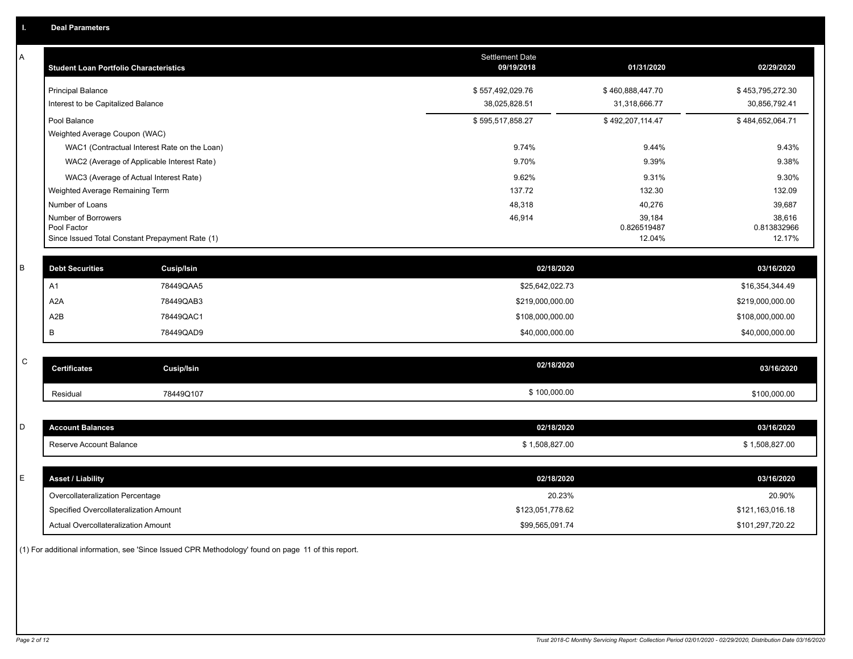| Α | <b>Student Loan Portfolio Characteristics</b>   |                                              | Settlement Date<br>09/19/2018 | 01/31/2020            | 02/29/2020            |
|---|-------------------------------------------------|----------------------------------------------|-------------------------------|-----------------------|-----------------------|
|   | <b>Principal Balance</b>                        |                                              | \$557,492,029.76              | \$460,888,447.70      | \$453,795,272.30      |
|   | Interest to be Capitalized Balance              |                                              | 38,025,828.51                 | 31,318,666.77         | 30,856,792.41         |
|   | Pool Balance                                    |                                              | \$595,517,858.27              | \$492,207,114.47      | \$484,652,064.71      |
|   | Weighted Average Coupon (WAC)                   |                                              |                               |                       |                       |
|   |                                                 | WAC1 (Contractual Interest Rate on the Loan) | 9.74%                         | 9.44%                 | 9.43%                 |
|   |                                                 | WAC2 (Average of Applicable Interest Rate)   | 9.70%                         | 9.39%                 | 9.38%                 |
|   | WAC3 (Average of Actual Interest Rate)          |                                              | 9.62%                         | 9.31%                 | 9.30%                 |
|   | Weighted Average Remaining Term                 |                                              | 137.72                        | 132.30                | 132.09                |
|   | Number of Loans                                 |                                              | 48,318                        | 40,276                | 39,687                |
|   | Number of Borrowers<br>Pool Factor              |                                              | 46,914                        | 39,184<br>0.826519487 | 38,616<br>0.813832966 |
|   | Since Issued Total Constant Prepayment Rate (1) |                                              |                               | 12.04%                | 12.17%                |
|   |                                                 |                                              |                               |                       |                       |
| B | <b>Debt Securities</b>                          | Cusip/Isin                                   | 02/18/2020                    |                       | 03/16/2020            |
|   | A <sub>1</sub>                                  | 78449QAA5                                    | \$25,642,022.73               |                       | \$16,354,344.49       |
|   | A <sub>2</sub> A                                | 78449QAB3                                    | \$219,000,000.00              |                       | \$219,000,000.00      |
|   | A2B                                             | 78449QAC1                                    | \$108,000,000.00              |                       | \$108,000,000.00      |
|   | B                                               | 78449QAD9                                    | \$40,000,000.00               |                       | \$40,000,000.00       |
|   |                                                 |                                              |                               |                       |                       |
| C | <b>Certificates</b>                             | <b>Cusip/Isin</b>                            | 02/18/2020                    |                       | 03/16/2020            |
|   | Residual                                        | 78449Q107                                    | \$100,000.00                  |                       | \$100,000.00          |
|   |                                                 |                                              |                               |                       |                       |
| D | <b>Account Balances</b>                         |                                              | 02/18/2020                    |                       | 03/16/2020            |
|   | Reserve Account Balance                         |                                              | \$1,508,827.00                |                       | \$1,508,827.00        |
|   |                                                 |                                              |                               |                       |                       |
| E | <b>Asset / Liability</b>                        |                                              | 02/18/2020                    |                       | 03/16/2020            |
|   | Overcollateralization Percentage                |                                              | 20.23%                        |                       | 20.90%                |
|   | Specified Overcollateralization Amount          |                                              | \$123,051,778.62              |                       | \$121,163,016.18      |
|   | <b>Actual Overcollateralization Amount</b>      |                                              | \$99,565,091.74               |                       | \$101,297,720.22      |

(1) For additional information, see 'Since Issued CPR Methodology' found on page 11 of this report.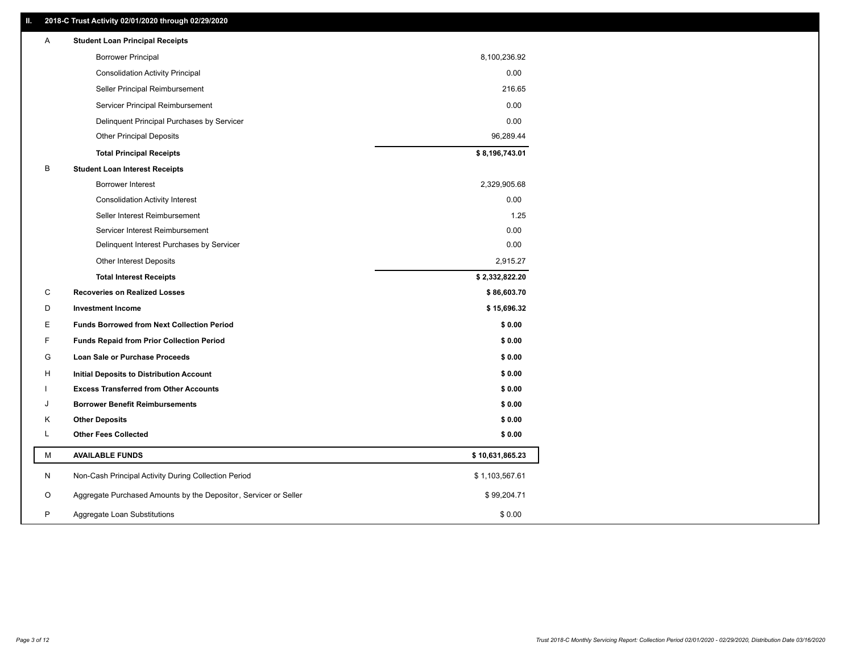### **II. 2018-C Trust Activity 02/01/2020 through 02/29/2020**

| A | <b>Student Loan Principal Receipts</b>                           |                 |  |
|---|------------------------------------------------------------------|-----------------|--|
|   | <b>Borrower Principal</b>                                        | 8,100,236.92    |  |
|   | <b>Consolidation Activity Principal</b>                          | 0.00            |  |
|   | Seller Principal Reimbursement                                   | 216.65          |  |
|   | Servicer Principal Reimbursement                                 | 0.00            |  |
|   | Delinquent Principal Purchases by Servicer                       | 0.00            |  |
|   | <b>Other Principal Deposits</b>                                  | 96,289.44       |  |
|   | <b>Total Principal Receipts</b>                                  | \$8,196,743.01  |  |
| В | <b>Student Loan Interest Receipts</b>                            |                 |  |
|   | <b>Borrower Interest</b>                                         | 2,329,905.68    |  |
|   | <b>Consolidation Activity Interest</b>                           | 0.00            |  |
|   | Seller Interest Reimbursement                                    | 1.25            |  |
|   | Servicer Interest Reimbursement                                  | 0.00            |  |
|   | Delinquent Interest Purchases by Servicer                        | 0.00            |  |
|   | <b>Other Interest Deposits</b>                                   | 2,915.27        |  |
|   | <b>Total Interest Receipts</b>                                   | \$2,332,822.20  |  |
| C | <b>Recoveries on Realized Losses</b>                             | \$86,603.70     |  |
| D | <b>Investment Income</b>                                         | \$15,696.32     |  |
| Ε | <b>Funds Borrowed from Next Collection Period</b>                | \$0.00          |  |
| F | <b>Funds Repaid from Prior Collection Period</b>                 | \$0.00          |  |
| G | Loan Sale or Purchase Proceeds                                   | \$0.00          |  |
| H | Initial Deposits to Distribution Account                         | \$0.00          |  |
|   | <b>Excess Transferred from Other Accounts</b>                    | \$0.00          |  |
| J | <b>Borrower Benefit Reimbursements</b>                           | \$0.00          |  |
| Κ | <b>Other Deposits</b>                                            | \$0.00          |  |
| L | <b>Other Fees Collected</b>                                      | \$0.00          |  |
| М | <b>AVAILABLE FUNDS</b>                                           | \$10,631,865.23 |  |
| N | Non-Cash Principal Activity During Collection Period             | \$1,103,567.61  |  |
| O | Aggregate Purchased Amounts by the Depositor, Servicer or Seller | \$99,204.71     |  |
| P | Aggregate Loan Substitutions                                     | \$0.00          |  |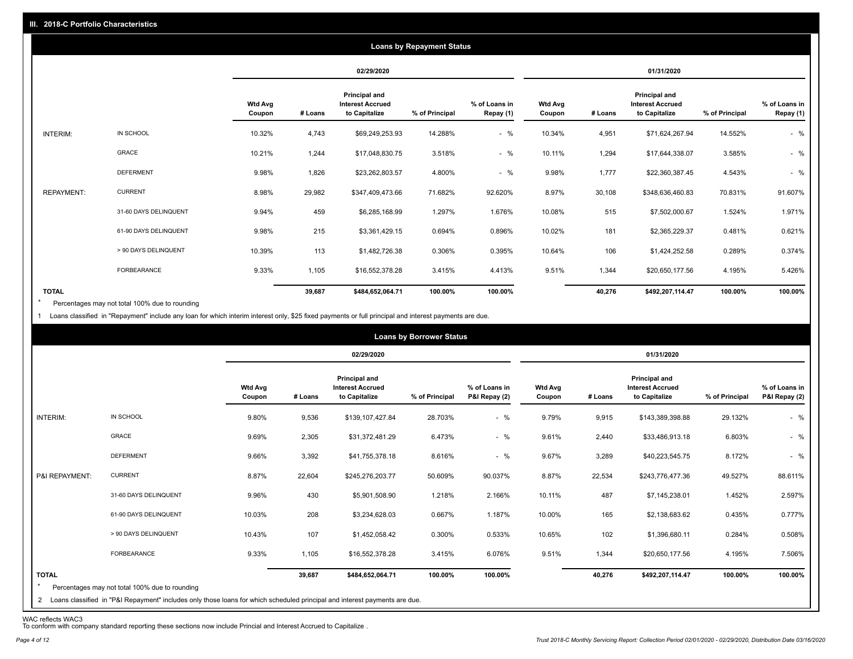|                   |                       |                          |         |                                                           | <b>Loans by Repayment Status</b> |                            |                   |         |                                                                  |                |                            |
|-------------------|-----------------------|--------------------------|---------|-----------------------------------------------------------|----------------------------------|----------------------------|-------------------|---------|------------------------------------------------------------------|----------------|----------------------------|
|                   |                       |                          |         | 02/29/2020                                                |                                  |                            |                   |         | 01/31/2020                                                       |                |                            |
|                   |                       | <b>Wtd Avg</b><br>Coupon | # Loans | Principal and<br><b>Interest Accrued</b><br>to Capitalize | % of Principal                   | % of Loans in<br>Repay (1) | Wtd Avg<br>Coupon | # Loans | <b>Principal and</b><br><b>Interest Accrued</b><br>to Capitalize | % of Principal | % of Loans in<br>Repay (1) |
| INTERIM:          | IN SCHOOL             | 10.32%                   | 4,743   | \$69,249,253.93                                           | 14.288%                          | $-$ %                      | 10.34%            | 4,951   | \$71,624,267.94                                                  | 14.552%        | $-$ %                      |
|                   | <b>GRACE</b>          | 10.21%                   | 1,244   | \$17,048,830.75                                           | 3.518%                           | $-$ %                      | 10.11%            | 1,294   | \$17,644,338.07                                                  | 3.585%         | $-$ %                      |
|                   | <b>DEFERMENT</b>      | 9.98%                    | 1,826   | \$23,262,803.57                                           | 4.800%                           | $-$ %                      | 9.98%             | 1,777   | \$22,360,387.45                                                  | 4.543%         | $-$ %                      |
| <b>REPAYMENT:</b> | <b>CURRENT</b>        | 8.98%                    | 29,982  | \$347,409,473.66                                          | 71.682%                          | 92.620%                    | 8.97%             | 30,108  | \$348,636,460.83                                                 | 70.831%        | 91.607%                    |
|                   | 31-60 DAYS DELINQUENT | 9.94%                    | 459     | \$6,285,168.99                                            | 1.297%                           | 1.676%                     | 10.08%            | 515     | \$7,502,000.67                                                   | 1.524%         | 1.971%                     |
|                   | 61-90 DAYS DELINQUENT | 9.98%                    | 215     | \$3,361,429.15                                            | 0.694%                           | 0.896%                     | 10.02%            | 181     | \$2,365,229.37                                                   | 0.481%         | 0.621%                     |
|                   | > 90 DAYS DELINQUENT  | 10.39%                   | 113     | \$1,482,726.38                                            | 0.306%                           | 0.395%                     | 10.64%            | 106     | \$1,424,252.58                                                   | 0.289%         | 0.374%                     |
|                   | <b>FORBEARANCE</b>    | 9.33%                    | 1,105   | \$16,552,378.28                                           | 3.415%                           | 4.413%                     | 9.51%             | 1,344   | \$20,650,177.56                                                  | 4.195%         | 5.426%                     |
| <b>TOTAL</b>      |                       |                          | 39,687  | \$484,652,064.71                                          | 100.00%                          | 100.00%                    |                   | 40,276  | \$492,207,114.47                                                 | 100.00%        | 100.00%                    |

Percentages may not total 100% due to rounding  $\star$ 

1 Loans classified in "Repayment" include any loan for which interim interest only, \$25 fixed payments or full principal and interest payments are due.

|                         |                                                                                                                                                                                |                          |         |                                                           | <b>Loans by Borrower Status</b> |                                |                          |         |                                                                  |                |                                |
|-------------------------|--------------------------------------------------------------------------------------------------------------------------------------------------------------------------------|--------------------------|---------|-----------------------------------------------------------|---------------------------------|--------------------------------|--------------------------|---------|------------------------------------------------------------------|----------------|--------------------------------|
|                         |                                                                                                                                                                                |                          |         | 02/29/2020                                                |                                 |                                |                          |         | 01/31/2020                                                       |                |                                |
|                         |                                                                                                                                                                                | <b>Wtd Avg</b><br>Coupon | # Loans | Principal and<br><b>Interest Accrued</b><br>to Capitalize | % of Principal                  | % of Loans in<br>P&I Repay (2) | <b>Wtd Avg</b><br>Coupon | # Loans | <b>Principal and</b><br><b>Interest Accrued</b><br>to Capitalize | % of Principal | % of Loans in<br>P&I Repay (2) |
| INTERIM:                | IN SCHOOL                                                                                                                                                                      | 9.80%                    | 9,536   | \$139,107,427.84                                          | 28.703%                         | $-$ %                          | 9.79%                    | 9,915   | \$143,389,398.88                                                 | 29.132%        | $-$ %                          |
|                         | GRACE                                                                                                                                                                          | 9.69%                    | 2,305   | \$31,372,481.29                                           | 6.473%                          | $-$ %                          | 9.61%                    | 2,440   | \$33,486,913.18                                                  | 6.803%         | $-$ %                          |
|                         | <b>DEFERMENT</b>                                                                                                                                                               | 9.66%                    | 3,392   | \$41,755,378.18                                           | 8.616%                          | $-$ %                          | 9.67%                    | 3,289   | \$40,223,545.75                                                  | 8.172%         | $-$ %                          |
| P&I REPAYMENT:          | <b>CURRENT</b>                                                                                                                                                                 | 8.87%                    | 22,604  | \$245,276,203.77                                          | 50.609%                         | 90.037%                        | 8.87%                    | 22,534  | \$243,776,477.36                                                 | 49.527%        | 88.611%                        |
|                         | 31-60 DAYS DELINQUENT                                                                                                                                                          | 9.96%                    | 430     | \$5,901,508.90                                            | 1.218%                          | 2.166%                         | 10.11%                   | 487     | \$7,145,238.01                                                   | 1.452%         | 2.597%                         |
|                         | 61-90 DAYS DELINQUENT                                                                                                                                                          | 10.03%                   | 208     | \$3,234,628.03                                            | 0.667%                          | 1.187%                         | 10.00%                   | 165     | \$2,138,683.62                                                   | 0.435%         | 0.777%                         |
|                         | > 90 DAYS DELINQUENT                                                                                                                                                           | 10.43%                   | 107     | \$1,452,058.42                                            | 0.300%                          | 0.533%                         | 10.65%                   | 102     | \$1,396,680.11                                                   | 0.284%         | 0.508%                         |
|                         | FORBEARANCE                                                                                                                                                                    | 9.33%                    | 1,105   | \$16,552,378.28                                           | 3.415%                          | 6.076%                         | 9.51%                    | 1,344   | \$20,650,177.56                                                  | 4.195%         | 7.506%                         |
| <b>TOTAL</b><br>$\star$ | Percentages may not total 100% due to rounding<br>2 Loans classified in "P&I Repayment" includes only those loans for which scheduled principal and interest payments are due. |                          | 39,687  | \$484,652,064.71                                          | 100.00%                         | 100.00%                        |                          | 40,276  | \$492,207,114.47                                                 | 100.00%        | 100.00%                        |

WAC reflects WAC3 To conform with company standard reporting these sections now include Princial and Interest Accrued to Capitalize .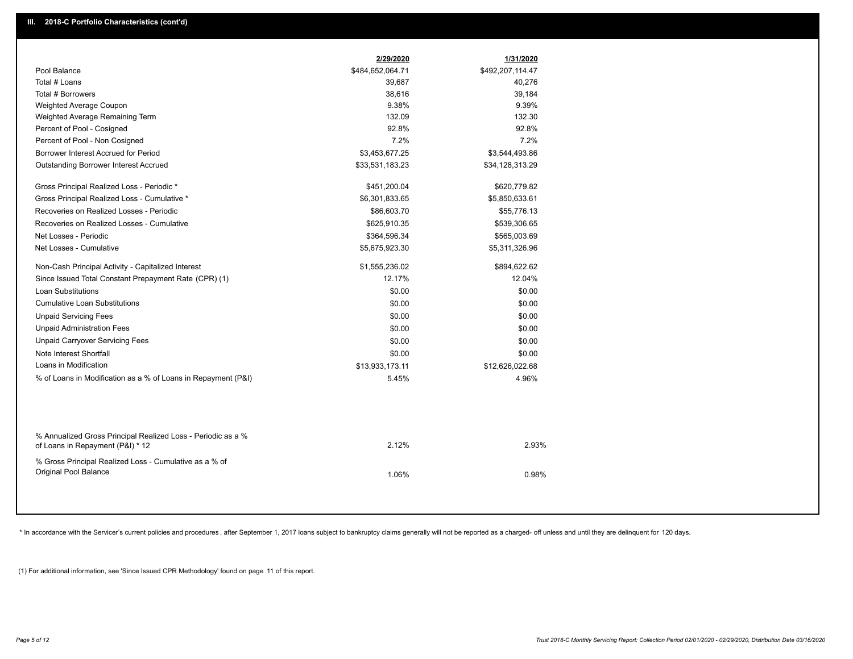|                                                                                                  | 2/29/2020        | 1/31/2020        |  |
|--------------------------------------------------------------------------------------------------|------------------|------------------|--|
| Pool Balance                                                                                     | \$484,652,064.71 | \$492,207,114.47 |  |
| Total # Loans                                                                                    | 39,687           | 40,276           |  |
| Total # Borrowers                                                                                | 38,616           | 39,184           |  |
| Weighted Average Coupon                                                                          | 9.38%            | 9.39%            |  |
| Weighted Average Remaining Term                                                                  | 132.09           | 132.30           |  |
| Percent of Pool - Cosigned                                                                       | 92.8%            | 92.8%            |  |
| Percent of Pool - Non Cosigned                                                                   | 7.2%             | 7.2%             |  |
| Borrower Interest Accrued for Period                                                             | \$3,453,677.25   | \$3,544,493.86   |  |
| Outstanding Borrower Interest Accrued                                                            | \$33,531,183.23  | \$34,128,313.29  |  |
| Gross Principal Realized Loss - Periodic *                                                       | \$451,200.04     | \$620,779.82     |  |
| Gross Principal Realized Loss - Cumulative *                                                     | \$6,301,833.65   | \$5,850,633.61   |  |
| Recoveries on Realized Losses - Periodic                                                         | \$86,603.70      | \$55,776.13      |  |
| Recoveries on Realized Losses - Cumulative                                                       | \$625,910.35     | \$539,306.65     |  |
| Net Losses - Periodic                                                                            | \$364,596.34     | \$565,003.69     |  |
| Net Losses - Cumulative                                                                          | \$5,675,923.30   | \$5,311,326.96   |  |
| Non-Cash Principal Activity - Capitalized Interest                                               | \$1,555,236.02   | \$894,622.62     |  |
| Since Issued Total Constant Prepayment Rate (CPR) (1)                                            | 12.17%           | 12.04%           |  |
| <b>Loan Substitutions</b>                                                                        | \$0.00           | \$0.00           |  |
| <b>Cumulative Loan Substitutions</b>                                                             | \$0.00           | \$0.00           |  |
| <b>Unpaid Servicing Fees</b>                                                                     | \$0.00           | \$0.00           |  |
| <b>Unpaid Administration Fees</b>                                                                | \$0.00           | \$0.00           |  |
| <b>Unpaid Carryover Servicing Fees</b>                                                           | \$0.00           | \$0.00           |  |
| Note Interest Shortfall                                                                          | \$0.00           | \$0.00           |  |
| Loans in Modification                                                                            | \$13,933,173.11  | \$12,626,022.68  |  |
| % of Loans in Modification as a % of Loans in Repayment (P&I)                                    | 5.45%            | 4.96%            |  |
|                                                                                                  |                  |                  |  |
| % Annualized Gross Principal Realized Loss - Periodic as a %<br>of Loans in Repayment (P&I) * 12 | 2.12%            | 2.93%            |  |
| % Gross Principal Realized Loss - Cumulative as a % of<br>Original Pool Balance                  | 1.06%            | 0.98%            |  |

\* In accordance with the Servicer's current policies and procedures, after September 1, 2017 loans subject to bankruptcy claims generally will not be reported as a charged- off unless and until they are delinquent for 120

(1) For additional information, see 'Since Issued CPR Methodology' found on page 11 of this report.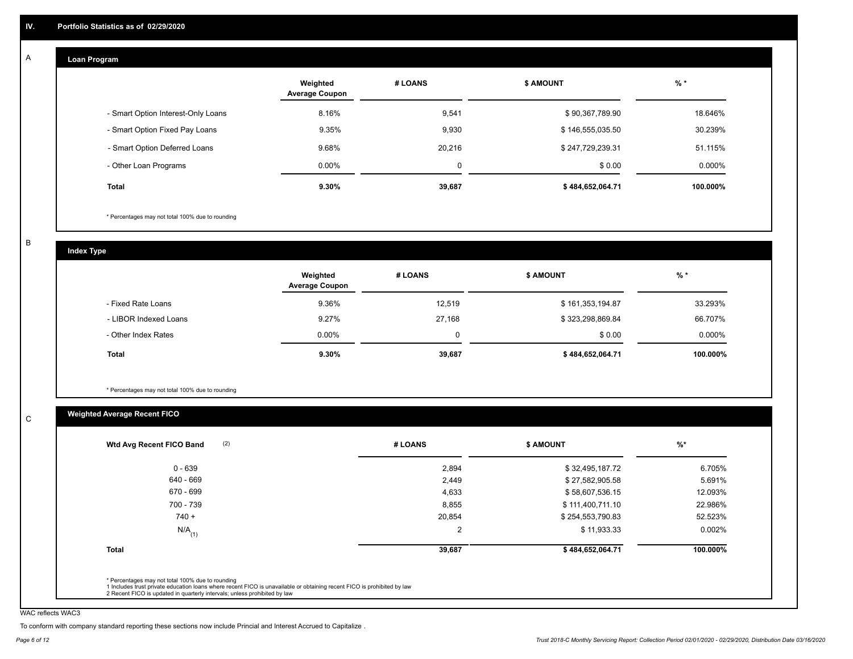#### **Loan Program**  A

|                                    | Weighted<br><b>Average Coupon</b> | # LOANS     | <b>\$ AMOUNT</b> | $%$ *     |
|------------------------------------|-----------------------------------|-------------|------------------|-----------|
| - Smart Option Interest-Only Loans | 8.16%                             | 9,541       | \$90,367,789.90  | 18.646%   |
| - Smart Option Fixed Pay Loans     | 9.35%                             | 9,930       | \$146,555,035.50 | 30.239%   |
| - Smart Option Deferred Loans      | 9.68%                             | 20.216      | \$247,729,239.31 | 51.115%   |
| - Other Loan Programs              | $0.00\%$                          | $\mathbf 0$ | \$0.00           | $0.000\%$ |
| Total                              | 9.30%                             | 39,687      | \$484,652,064.71 | 100.000%  |

\* Percentages may not total 100% due to rounding

B

C

**Index Type**

|                       | Weighted<br><b>Average Coupon</b> | # LOANS  | <b>\$ AMOUNT</b> | $%$ *     |
|-----------------------|-----------------------------------|----------|------------------|-----------|
| - Fixed Rate Loans    | 9.36%                             | 12,519   | \$161,353,194.87 | 33.293%   |
| - LIBOR Indexed Loans | 9.27%                             | 27,168   | \$323,298,869.84 | 66.707%   |
| - Other Index Rates   | $0.00\%$                          | $\Omega$ | \$0.00           | $0.000\%$ |
| <b>Total</b>          | $9.30\%$                          | 39,687   | \$484,652,064.71 | 100.000%  |

\* Percentages may not total 100% due to rounding

## **Weighted Average Recent FICO**

| (2)<br>Wtd Avg Recent FICO Band | # LOANS | <b>S AMOUNT</b>  | $%$ *     |
|---------------------------------|---------|------------------|-----------|
| $0 - 639$                       | 2,894   | \$32,495,187.72  | 6.705%    |
| 640 - 669                       | 2,449   | \$27,582,905.58  | 5.691%    |
| 670 - 699                       | 4,633   | \$58,607,536.15  | 12.093%   |
| 700 - 739                       | 8,855   | \$111,400,711.10 | 22.986%   |
| $740 +$                         | 20,854  | \$254,553,790.83 | 52.523%   |
| $N/A$ <sub>(1)</sub>            | 2       | \$11,933.33      | $0.002\%$ |
| <b>Total</b>                    | 39,687  | \$484,652,064.71 | 100.000%  |

WAC reflects WAC3

To conform with company standard reporting these sections now include Princial and Interest Accrued to Capitalize .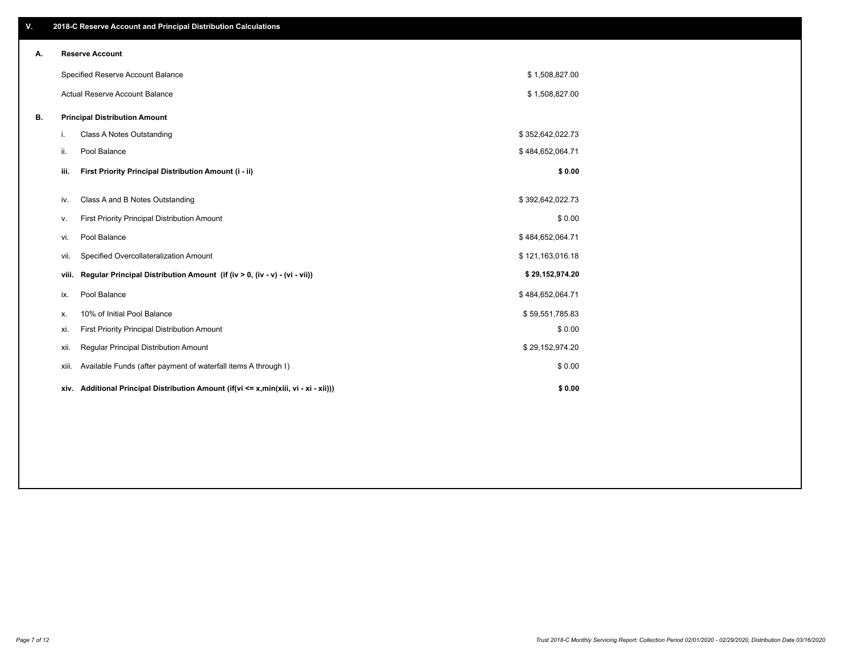| V. |       | 2018-C Reserve Account and Principal Distribution Calculations                       |                  |  |
|----|-------|--------------------------------------------------------------------------------------|------------------|--|
| Α. |       | <b>Reserve Account</b>                                                               |                  |  |
|    |       | Specified Reserve Account Balance                                                    | \$1,508,827.00   |  |
|    |       | Actual Reserve Account Balance                                                       | \$1,508,827.00   |  |
| В. |       | <b>Principal Distribution Amount</b>                                                 |                  |  |
|    | i.    | Class A Notes Outstanding                                                            | \$352,642,022.73 |  |
|    | ii.   | Pool Balance                                                                         | \$484,652,064.71 |  |
|    | iii.  | First Priority Principal Distribution Amount (i - ii)                                | \$0.00           |  |
|    | iv.   | Class A and B Notes Outstanding                                                      | \$392,642,022.73 |  |
|    | v.    | First Priority Principal Distribution Amount                                         | \$0.00           |  |
|    | vi.   | Pool Balance                                                                         | \$484,652,064.71 |  |
|    | vii.  | Specified Overcollateralization Amount                                               | \$121,163,016.18 |  |
|    | viii. | Regular Principal Distribution Amount (if (iv > 0, (iv - v) - (vi - vii))            | \$29,152,974.20  |  |
|    | ix.   | Pool Balance                                                                         | \$484,652,064.71 |  |
|    | Х.    | 10% of Initial Pool Balance                                                          | \$59,551,785.83  |  |
|    | xi.   | First Priority Principal Distribution Amount                                         | \$0.00           |  |
|    | xii.  | Regular Principal Distribution Amount                                                | \$29,152,974.20  |  |
|    | xiii. | Available Funds (after payment of waterfall items A through I)                       | \$0.00           |  |
|    |       | xiv. Additional Principal Distribution Amount (if(vi <= x,min(xiii, vi - xi - xii))) | \$0.00           |  |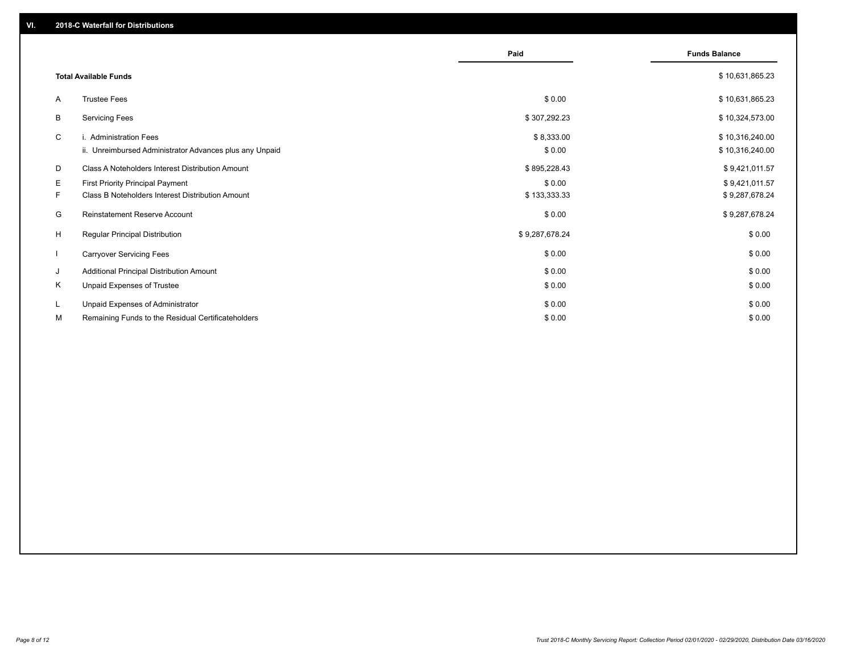|              |                                                         | Paid           | <b>Funds Balance</b> |
|--------------|---------------------------------------------------------|----------------|----------------------|
|              | <b>Total Available Funds</b>                            |                | \$10,631,865.23      |
| A            | <b>Trustee Fees</b>                                     | \$0.00         | \$10,631,865.23      |
| В            | <b>Servicing Fees</b>                                   | \$307,292.23   | \$10,324,573.00      |
| C            | i. Administration Fees                                  | \$8,333.00     | \$10,316,240.00      |
|              | ii. Unreimbursed Administrator Advances plus any Unpaid | \$0.00         | \$10,316,240.00      |
| D            | Class A Noteholders Interest Distribution Amount        | \$895,228.43   | \$9,421,011.57       |
| Е            | <b>First Priority Principal Payment</b>                 | \$0.00         | \$9,421,011.57       |
| F.           | Class B Noteholders Interest Distribution Amount        | \$133,333.33   | \$9,287,678.24       |
| G            | <b>Reinstatement Reserve Account</b>                    | \$0.00         | \$9,287,678.24       |
| H            | <b>Regular Principal Distribution</b>                   | \$9,287,678.24 | \$0.00               |
| $\mathbf{I}$ | <b>Carryover Servicing Fees</b>                         | \$0.00         | \$0.00               |
| J            | Additional Principal Distribution Amount                | \$0.00         | \$0.00               |
| Κ            | Unpaid Expenses of Trustee                              | \$0.00         | \$0.00               |
| L            | Unpaid Expenses of Administrator                        | \$0.00         | \$0.00               |
| М            | Remaining Funds to the Residual Certificateholders      | \$0.00         | \$0.00               |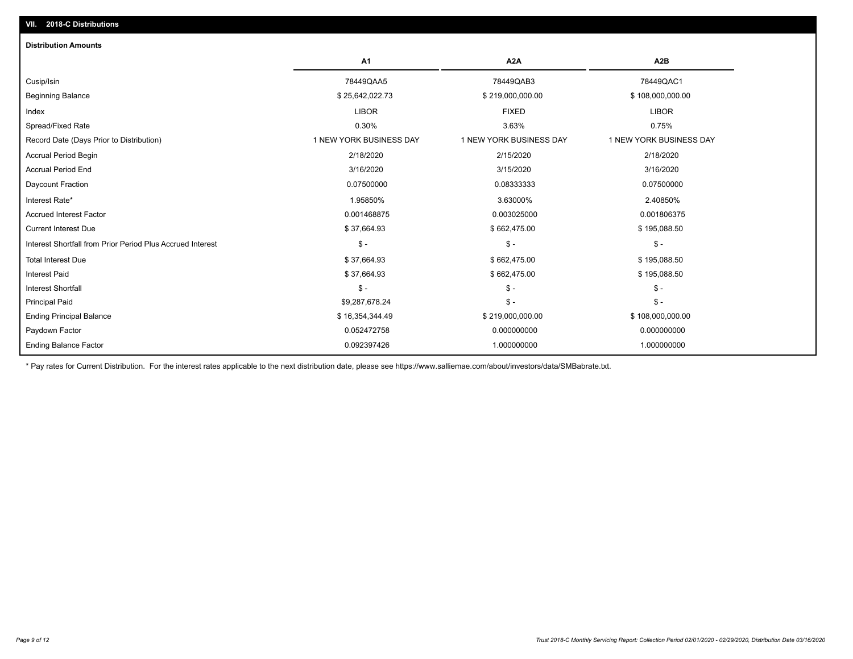| <b>Distribution Amounts</b>                                |                         |                         |                         |
|------------------------------------------------------------|-------------------------|-------------------------|-------------------------|
|                                                            | A <sub>1</sub>          | A <sub>2</sub> A        | A <sub>2</sub> B        |
| Cusip/Isin                                                 | 78449QAA5               | 78449QAB3               | 78449QAC1               |
| <b>Beginning Balance</b>                                   | \$25,642,022.73         | \$219,000,000.00        | \$108,000,000.00        |
| Index                                                      | <b>LIBOR</b>            | <b>FIXED</b>            | <b>LIBOR</b>            |
| Spread/Fixed Rate                                          | 0.30%                   | 3.63%                   | 0.75%                   |
| Record Date (Days Prior to Distribution)                   | 1 NEW YORK BUSINESS DAY | 1 NEW YORK BUSINESS DAY | 1 NEW YORK BUSINESS DAY |
| Accrual Period Begin                                       | 2/18/2020               | 2/15/2020               | 2/18/2020               |
| <b>Accrual Period End</b>                                  | 3/16/2020               | 3/15/2020               | 3/16/2020               |
| Daycount Fraction                                          | 0.07500000              | 0.08333333              | 0.07500000              |
| Interest Rate*                                             | 1.95850%                | 3.63000%                | 2.40850%                |
| <b>Accrued Interest Factor</b>                             | 0.001468875             | 0.003025000             | 0.001806375             |
| <b>Current Interest Due</b>                                | \$37,664.93             | \$662,475.00            | \$195,088.50            |
| Interest Shortfall from Prior Period Plus Accrued Interest | $\frac{1}{2}$           | $\mathcal{S}$ -         | $\mathcal{S}$ -         |
| <b>Total Interest Due</b>                                  | \$37,664.93             | \$662,475.00            | \$195,088.50            |
| <b>Interest Paid</b>                                       | \$37,664.93             | \$662,475.00            | \$195,088.50            |
| <b>Interest Shortfall</b>                                  | $\mathsf{\$}$ -         | $\mathsf{\$}$ -         | $\mathsf{\$}$ -         |
| <b>Principal Paid</b>                                      | \$9,287,678.24          | $\mathsf{\$}$ -         | $\mathsf{\$}$ -         |
| <b>Ending Principal Balance</b>                            | \$16,354,344.49         | \$219,000,000.00        | \$108,000,000.00        |
| Paydown Factor                                             | 0.052472758             | 0.000000000             | 0.000000000             |
| <b>Ending Balance Factor</b>                               | 0.092397426             | 1.000000000             | 1.000000000             |

\* Pay rates for Current Distribution. For the interest rates applicable to the next distribution date, please see https://www.salliemae.com/about/investors/data/SMBabrate.txt.

**VII. 2018-C Distributions**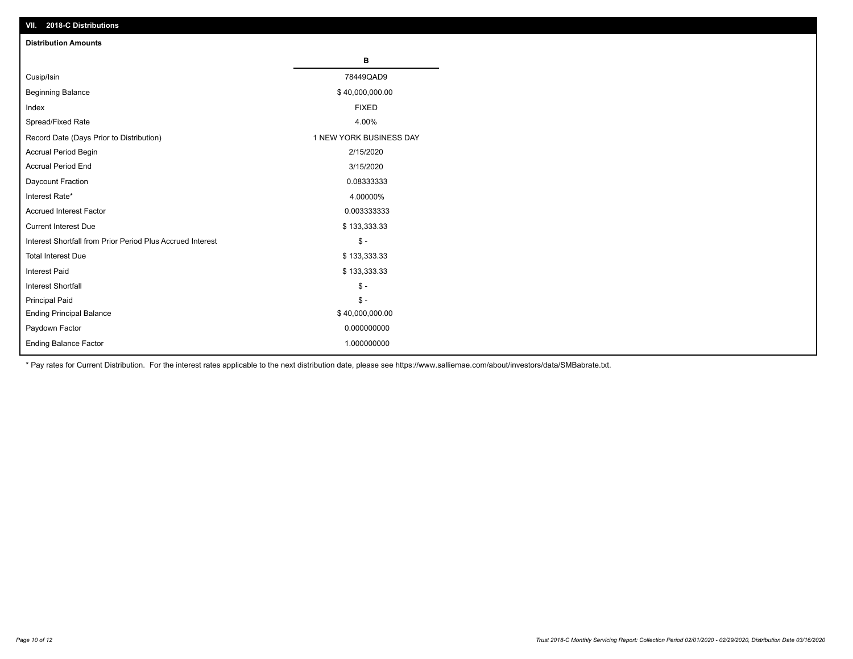| VII. 2018-C Distributions                                  |                         |
|------------------------------------------------------------|-------------------------|
| <b>Distribution Amounts</b>                                |                         |
|                                                            | В                       |
| Cusip/Isin                                                 | 78449QAD9               |
| <b>Beginning Balance</b>                                   | \$40,000,000.00         |
| Index                                                      | <b>FIXED</b>            |
| Spread/Fixed Rate                                          | 4.00%                   |
| Record Date (Days Prior to Distribution)                   | 1 NEW YORK BUSINESS DAY |
| Accrual Period Begin                                       | 2/15/2020               |
| <b>Accrual Period End</b>                                  | 3/15/2020               |
| Daycount Fraction                                          | 0.08333333              |
| Interest Rate*                                             | 4.00000%                |
| <b>Accrued Interest Factor</b>                             | 0.003333333             |
| <b>Current Interest Due</b>                                | \$133,333.33            |
| Interest Shortfall from Prior Period Plus Accrued Interest | $$ -$                   |
| <b>Total Interest Due</b>                                  | \$133,333.33            |
| <b>Interest Paid</b>                                       | \$133,333.33            |
| Interest Shortfall                                         | $\$ -                   |
| <b>Principal Paid</b>                                      | $$ -$                   |
| <b>Ending Principal Balance</b>                            | \$40,000,000.00         |
| Paydown Factor                                             | 0.000000000             |
| <b>Ending Balance Factor</b>                               | 1.000000000             |

\* Pay rates for Current Distribution. For the interest rates applicable to the next distribution date, please see https://www.salliemae.com/about/investors/data/SMBabrate.txt.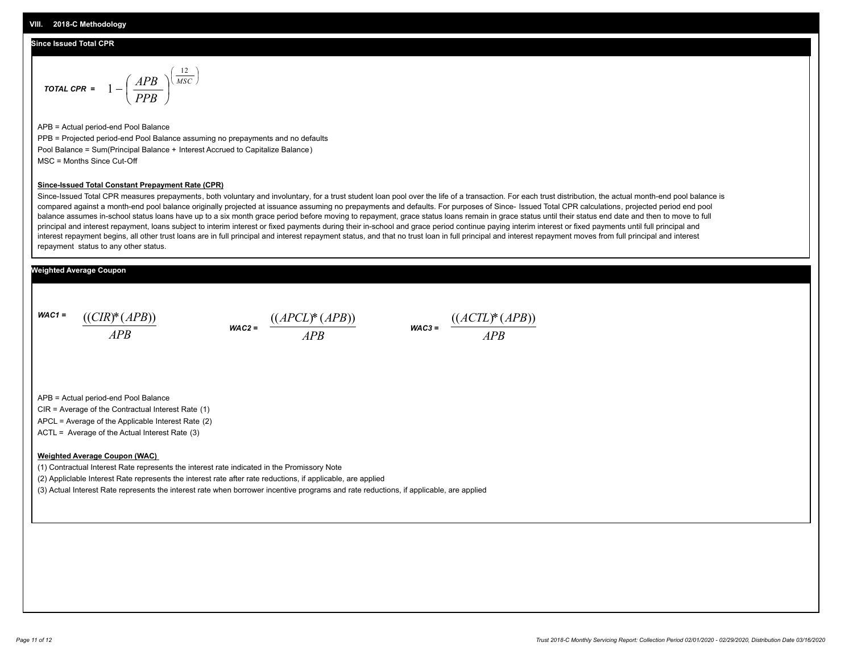#### **Since Issued Total CPR**

$$
\text{total CPR} = 1 - \left(\frac{APB}{PPB}\right)^{\left(\frac{12}{MSC}\right)}
$$

APB = Actual period-end Pool Balance PPB = Projected period-end Pool Balance assuming no prepayments and no defaults Pool Balance = Sum(Principal Balance + Interest Accrued to Capitalize Balance) MSC = Months Since Cut-Off

#### **Since-Issued Total Constant Prepayment Rate (CPR)**

Since-Issued Total CPR measures prepayments, both voluntary and involuntary, for a trust student loan pool over the life of a transaction. For each trust distribution, the actual month-end pool balance is compared against a month-end pool balance originally projected at issuance assuming no prepayments and defaults. For purposes of Since- Issued Total CPR calculations, projected period end pool balance assumes in-school status loans have up to a six month grace period before moving to repayment, grace status loans remain in grace status until their status end date and then to move to full principal and interest repayment, loans subject to interim interest or fixed payments during their in-school and grace period continue paying interim interest or fixed payments until full principal and interest repayment begins, all other trust loans are in full principal and interest repayment status, and that no trust loan in full principal and interest repayment moves from full principal and interest repayment status to any other status.

#### **Weighted Average Coupon**

*WAC1 = APB* ((*CIR*)\*(*APB*))

*WAC2 = APB*  $\frac{((APCL)^{*}(APB))}{APB}$  wac<sub>3</sub> =  $\frac{((ACTL)^{*}(A)P}{APB}$ 



APB = Actual period-end Pool Balance

CIR = Average of the Contractual Interest Rate (1)

APCL = Average of the Applicable Interest Rate (2)

ACTL = Average of the Actual Interest Rate (3)

#### **Weighted Average Coupon (WAC)**

(1) Contractual Interest Rate represents the interest rate indicated in the Promissory Note

(2) Appliclable Interest Rate represents the interest rate after rate reductions, if applicable, are applied

(3) Actual Interest Rate represents the interest rate when borrower incentive programs and rate reductions, if applicable, are applied